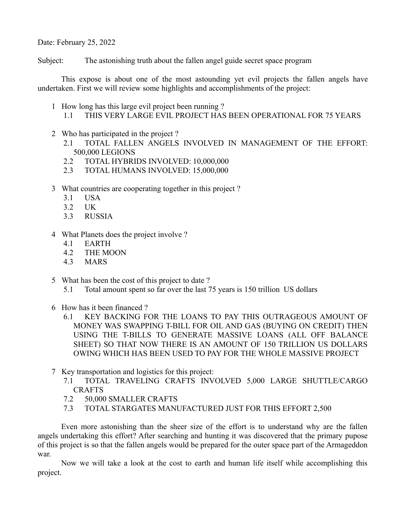Date: February 25, 2022

Subject: The astonishing truth about the fallen angel guide secret space program

This expose is about one of the most astounding yet evil projects the fallen angels have undertaken. First we will review some highlights and accomplishments of the project:

- 1 How long has this large evil project been running ?
	- 1.1 THIS VERY LARGE EVIL PROJECT HAS BEEN OPERATIONAL FOR 75 YEARS
- 2 Who has participated in the project ?
	- 2.1 TOTAL FALLEN ANGELS INVOLVED IN MANAGEMENT OF THE EFFORT: 500,000 LEGIONS
	- 2.2 TOTAL HYBRIDS INVOLVED: 10,000,000
	- 2.3 TOTAL HUMANS INVOLVED: 15,000,000
- 3 What countries are cooperating together in this project ?
	- 3.1 USA
	- 3.2 UK
	- 3.3 RUSSIA
- 4 What Planets does the project involve ?
	- 4.1 EARTH
	- 4.2 THE MOON
	- 4.3 MARS
- 5 What has been the cost of this project to date ?
	- 5.1 Total amount spent so far over the last 75 years is 150 trillion US dollars
- 6 How has it been financed ?
	- 6.1 KEY BACKING FOR THE LOANS TO PAY THIS OUTRAGEOUS AMOUNT OF MONEY WAS SWAPPING T-BILL FOR OIL AND GAS (BUYING ON CREDIT) THEN USING THE T-BILLS TO GENERATE MASSIVE LOANS (ALL OFF BALANCE SHEET) SO THAT NOW THERE IS AN AMOUNT OF 150 TRILLION US DOLLARS OWING WHICH HAS BEEN USED TO PAY FOR THE WHOLE MASSIVE PROJECT
- 7 Key transportation and logistics for this project:
	- 7.1 TOTAL TRAVELING CRAFTS INVOLVED 5,000 LARGE SHUTTLE/CARGO CRAFTS
	- 7.2 50,000 SMALLER CRAFTS
	- 7.3 TOTAL STARGATES MANUFACTURED JUST FOR THIS EFFORT 2,500

Even more astonishing than the sheer size of the effort is to understand why are the fallen angels undertaking this effort? After searching and hunting it was discovered that the primary pupose of this project is so that the fallen angels would be prepared for the outer space part of the Armageddon war.

Now we will take a look at the cost to earth and human life itself while accomplishing this project.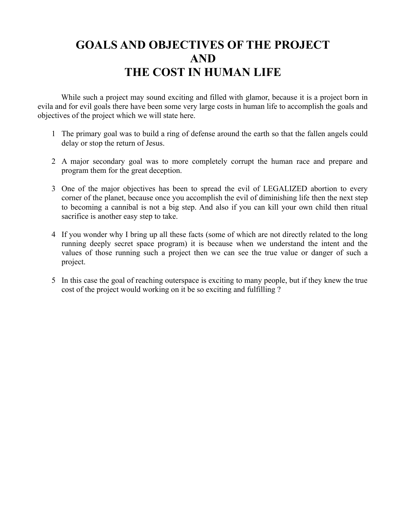## **GOALS AND OBJECTIVES OF THE PROJECT AND THE COST IN HUMAN LIFE**

While such a project may sound exciting and filled with glamor, because it is a project born in evila and for evil goals there have been some very large costs in human life to accomplish the goals and objectives of the project which we will state here.

- 1 The primary goal was to build a ring of defense around the earth so that the fallen angels could delay or stop the return of Jesus.
- 2 A major secondary goal was to more completely corrupt the human race and prepare and program them for the great deception.
- 3 One of the major objectives has been to spread the evil of LEGALIZED abortion to every corner of the planet, because once you accomplish the evil of diminishing life then the next step to becoming a cannibal is not a big step. And also if you can kill your own child then ritual sacrifice is another easy step to take.
- 4 If you wonder why I bring up all these facts (some of which are not directly related to the long running deeply secret space program) it is because when we understand the intent and the values of those running such a project then we can see the true value or danger of such a project.
- 5 In this case the goal of reaching outerspace is exciting to many people, but if they knew the true cost of the project would working on it be so exciting and fulfilling ?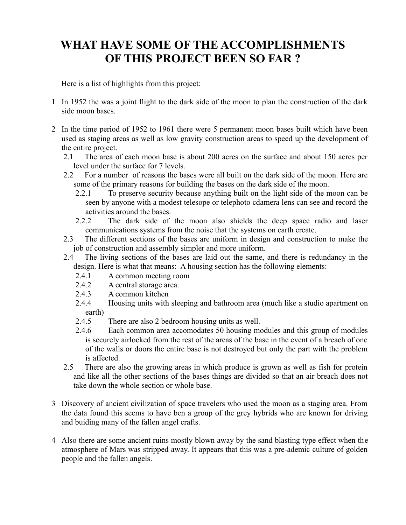## **WHAT HAVE SOME OF THE ACCOMPLISHMENTS OF THIS PROJECT BEEN SO FAR ?**

Here is a list of highlights from this project:

- 1 In 1952 the was a joint flight to the dark side of the moon to plan the construction of the dark side moon bases.
- 2 In the time period of 1952 to 1961 there were 5 permanent moon bases built which have been used as staging areas as well as low gravity construction areas to speed up the development of the entire project.
	- 2.1 The area of each moon base is about 200 acres on the surface and about 150 acres per level under the surface for 7 levels.
	- 2.2 For a number of reasons the bases were all built on the dark side of the moon. Here are some of the primary reasons for building the bases on the dark side of the moon.
		- 2.2.1 To preserve security because anything built on the light side of the moon can be seen by anyone with a modest telesope or telephoto cdamera lens can see and record the activities around the bases.
		- 2.2.2 The dark side of the moon also shields the deep space radio and laser communications systems from the noise that the systems on earth create.
	- 2.3 The different sections of the bases are uniform in design and construction to make the job of construction and assembly simpler and more uniform.
	- 2.4 The living sections of the bases are laid out the same, and there is redundancy in the design. Here is what that means: A housing section has the following elements:
		- 2.4.1 A common meeting room
		- 2.4.2 A central storage area.
		- 2.4.3 A common kitchen
		- 2.4.4 Housing units with sleeping and bathroom area (much like a studio apartment on earth)
		- 2.4.5 There are also 2 bedroom housing units as well.
		- 2.4.6 Each common area accomodates 50 housing modules and this group of modules is securely airlocked from the rest of the areas of the base in the event of a breach of one of the walls or doors the entire base is not destroyed but only the part with the problem is affected.
	- 2.5 There are also the growing areas in which produce is grown as well as fish for protein and like all the other sections of the bases things are divided so that an air breach does not take down the whole section or whole base.
- 3 Discovery of ancient civilization of space travelers who used the moon as a staging area. From the data found this seems to have ben a group of the grey hybrids who are known for driving and buiding many of the fallen angel crafts.
- 4 Also there are some ancient ruins mostly blown away by the sand blasting type effect when the atmosphere of Mars was stripped away. It appears that this was a pre-ademic culture of golden people and the fallen angels.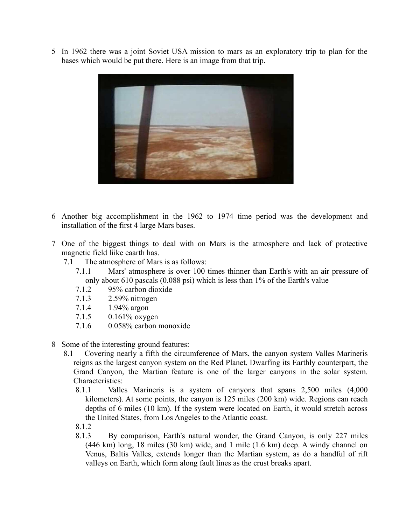5 In 1962 there was a joint Soviet USA mission to mars as an exploratory trip to plan for the bases which would be put there. Here is an image from that trip.



- 6 Another big accomplishment in the 1962 to 1974 time period was the development and installation of the first 4 large Mars bases.
- 7 One of the biggest things to deal with on Mars is the atmosphere and lack of protective magnetic field liike eaarth has.
	- 7.1 The atmosphere of Mars is as follows:
		- 7.1.1 Mars' atmosphere is over 100 times thinner than Earth's with an air pressure of only about 610 pascals (0.088 psi) which is less than 1% of the Earth's value
		- 7.1.2 95% carbon dioxide
		- 7.1.3 2.59% nitrogen
		- 7.1.4 1.94% argon
		- 7.1.5 0.161% oxygen
		- 7.1.6 0.058% carbon monoxide
- 8 Some of the interesting ground features:
	- 8.1 Covering nearly a fifth the circumference of Mars, the canyon system Valles Marineris reigns as the largest canyon system on the Red Planet. Dwarfing its Earthly counterpart, the Grand Canyon, the Martian feature is one of the larger canyons in the solar system. Characteristics:
		- 8.1.1 Valles Marineris is a system of canyons that spans 2,500 miles (4,000 kilometers). At some points, the canyon is 125 miles (200 km) wide. Regions can reach depths of 6 miles (10 km). If the system were located on Earth, it would stretch across the United States, from Los Angeles to the Atlantic coast.
		- 8.1.2
		- 8.1.3 By comparison, Earth's natural wonder, the Grand Canyon, is only 227 miles (446 km) long, 18 miles (30 km) wide, and 1 mile (1.6 km) deep. A windy channel on Venus, Baltis Valles, extends longer than the Martian system, as do a handful of rift valleys on Earth, which form along fault lines as the crust breaks apart.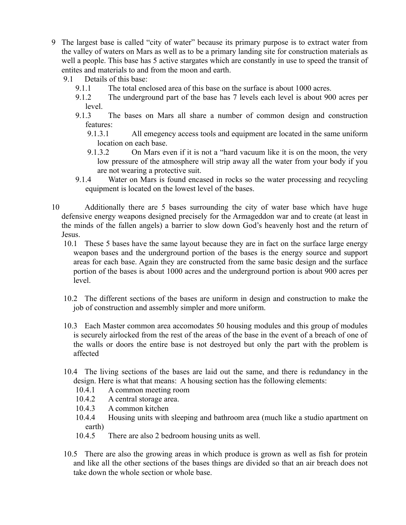- 9 The largest base is called "city of water" because its primary purpose is to extract water from the valley of waters on Mars as well as to be a primary landing site for construction materials as well a people. This base has 5 active stargates which are constantly in use to speed the transit of entites and materials to and from the moon and earth.
	- 9.1 Details of this base:
		- 9.1.1 The total enclosed area of this base on the surface is about 1000 acres.
		- 9.1.2 The underground part of the base has 7 levels each level is about 900 acres per level.
		- 9.1.3 The bases on Mars all share a number of common design and construction features:
			- 9.1.3.1 All emegency access tools and equipment are located in the same uniform location on each base.
			- 9.1.3.2 On Mars even if it is not a "hard vacuum like it is on the moon, the very low pressure of the atmosphere will strip away all the water from your body if you are not wearing a protective suit.
		- 9.1.4 Water on Mars is found encased in rocks so the water processing and recycling equipment is located on the lowest level of the bases.
- 10 Additionally there are 5 bases surrounding the city of water base which have huge defensive energy weapons designed precisely for the Armageddon war and to create (at least in the minds of the fallen angels) a barrier to slow down God's heavenly host and the return of Jesus.
	- 10.1 These 5 bases have the same layout because they are in fact on the surface large energy weapon bases and the underground portion of the bases is the energy source and support areas for each base. Again they are constructed from the same basic design and the surface portion of the bases is about 1000 acres and the underground portion is about 900 acres per level.
	- 10.2 The different sections of the bases are uniform in design and construction to make the job of construction and assembly simpler and more uniform.
	- 10.3 Each Master common area accomodates 50 housing modules and this group of modules is securely airlocked from the rest of the areas of the base in the event of a breach of one of the walls or doors the entire base is not destroyed but only the part with the problem is affected
	- 10.4 The living sections of the bases are laid out the same, and there is redundancy in the design. Here is what that means: A housing section has the following elements:
		- 10.4.1 A common meeting room
		- 10.4.2 A central storage area.
		- 10.4.3 A common kitchen
		- 10.4.4 Housing units with sleeping and bathroom area (much like a studio apartment on earth)
		- 10.4.5 There are also 2 bedroom housing units as well.
	- 10.5 There are also the growing areas in which produce is grown as well as fish for protein and like all the other sections of the bases things are divided so that an air breach does not take down the whole section or whole base.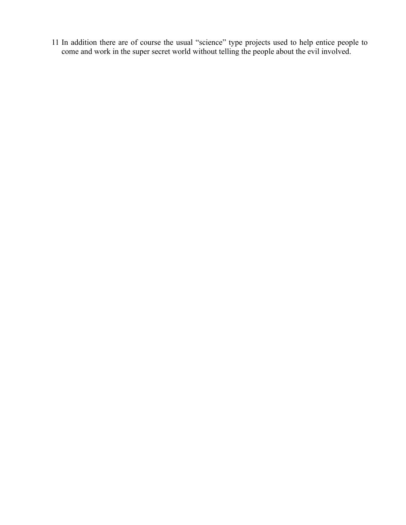11 In addition there are of course the usual "science" type projects used to help entice people to come and work in the super secret world without telling the people about the evil involved.